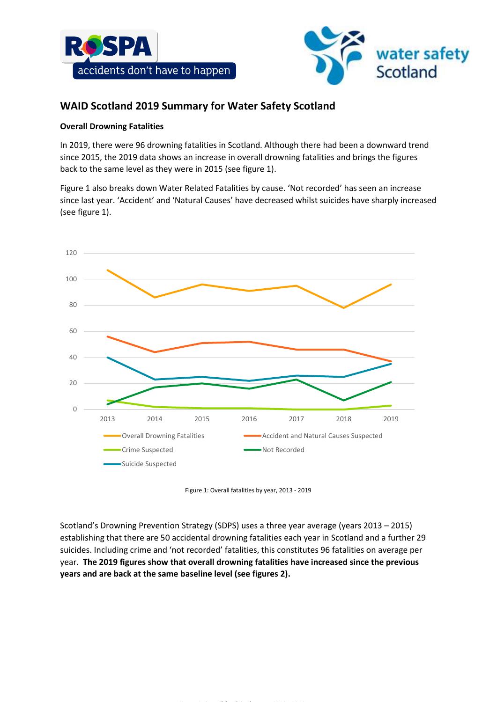



# **WAID Scotland 2019 Summary for Water Safety Scotland**

## **Overall Drowning Fatalities**

In 2019, there were 96 drowning fatalities in Scotland. Although there had been a downward trend since 2015, the 2019 data shows an increase in overall drowning fatalities and brings the figures back to the same level as they were in 2015 (see figure 1).

Figure 1 also breaks down Water Related Fatalities by cause. 'Not recorded' has seen an increase since last year. 'Accident' and 'Natural Causes' have decreased whilst suicides have sharply increased (see figure 1).



Figure 1: Overall fatalities by year, 2013 - 2019

Scotland's Drowning Prevention Strategy (SDPS) uses a three year average (years 2013 – 2015) establishing that there are 50 accidental drowning fatalities each year in Scotland and a further 29 suicides. Including crime and 'not recorded' fatalities, this constitutes 96 fatalities on average per year. **The 2019 figures show that overall drowning fatalities have increased since the previous years and are back at the same baseline level (see figures 2).**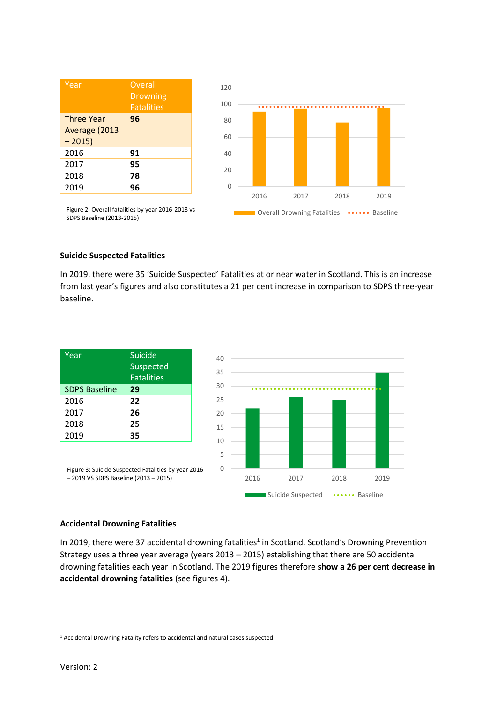| Year                                          | Overall<br><b>Drowning</b><br><b>Fatalities</b> |
|-----------------------------------------------|-------------------------------------------------|
| <b>Three Year</b><br>Average (2013<br>$-2015$ | 96                                              |
| 2016                                          | 91                                              |
| 2017                                          | 95                                              |
| 2018                                          | 78                                              |
| 2019                                          | 96                                              |



Figure 2: Overall fatalities by year 2016-2018 vs SDPS Baseline (2013-2015)

### **Suicide Suspected Fatalities**

In 2019, there were 35 'Suicide Suspected' Fatalities at or near water in Scotland. This is an increase from last year's figures and also constitutes a 21 per cent increase in comparison to SDPS three-year baseline.



### **Accidental Drowning Fatalities**

In 2019, there were 37 accidental drowning fatalities<sup>1</sup> in Scotland. Scotland's Drowning Prevention Strategy uses a three year average (years 2013 – 2015) establishing that there are 50 accidental drowning fatalities each year in Scotland. The 2019 figures therefore **show a 26 per cent decrease in accidental drowning fatalities** (see figures 4).

 $\overline{a}$ 

<sup>&</sup>lt;sup>1</sup> Accidental Drowning Fatality refers to accidental and natural cases suspected.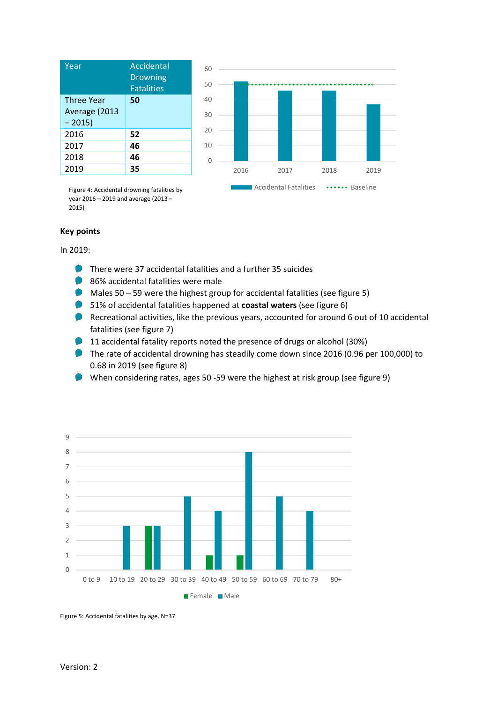| Accidental<br><b>Drowning</b><br><b>Fatalities</b> |
|----------------------------------------------------|
| 50                                                 |
| 52                                                 |
| 46                                                 |
| 46                                                 |
| 35                                                 |
|                                                    |



Figure 4: Accidental drowning fatalities by year 2016 – 2019 and average (2013 – 2015)

#### **Key points**

In 2019:

- **There were 37 accidental fatalities and a further 35 suicides**
- 86% accidental fatalities were male
- $\blacksquare$  Males 50 59 were the highest group for accidental fatalities (see figure 5)
- 51% of accidental fatalities happened at **coastal waters** (see figure 6)
- Recreational activities, like the previous years, accounted for around 6 out of 10 accidental fatalities (see figure 7)
- 11 accidental fatality reports noted the presence of drugs or alcohol (30%)
- The rate of accidental drowning has steadily come down since 2016 (0.96 per 100,000) to 0.68 in 2019 (see figure 8)
- When considering rates, ages 50 -59 were the highest at risk group (see figure 9)



Figure 5: Accidental fatalities by age. N=37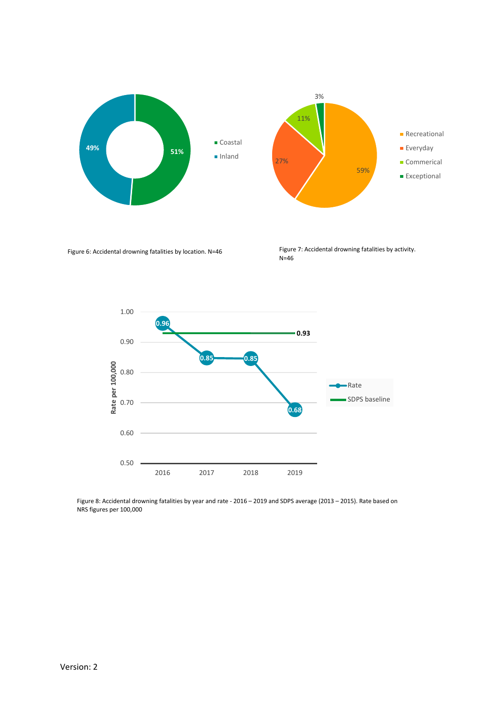

Figure 6: Accidental drowning fatalities by location. N=46 Figure 7: Accidental drowning fatalities by activity. N=46



Figure 8: Accidental drowning fatalities by year and rate - 2016 – 2019 and SDPS average (2013 – 2015). Rate based on NRS figures per 100,000